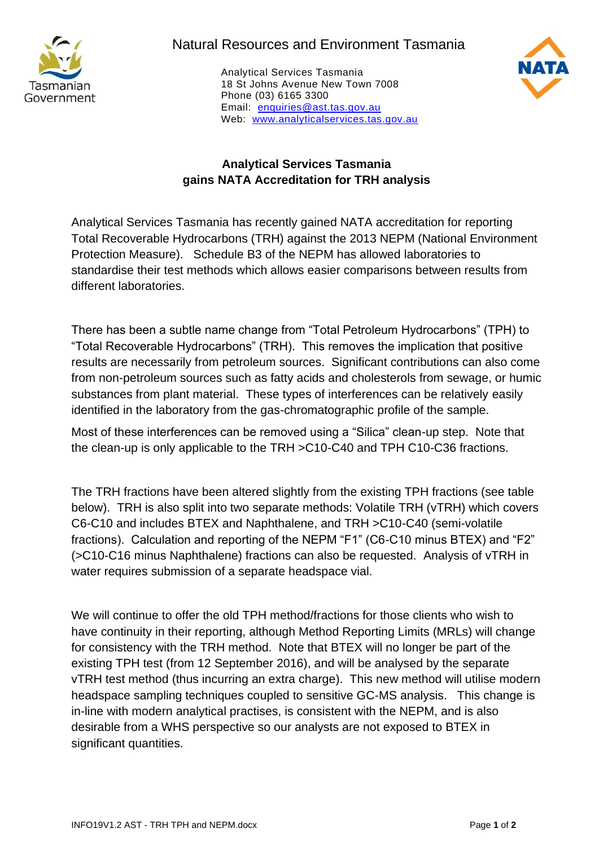

## Natural Resources and Environment Tasmania

Analytical Services Tasmania 18 St Johns Avenue New Town 7008 Phone (03) 6165 3300 Email: [enquiries@ast.tas.gov.au](mailto:enquiries@ast.tas.gov.au) Web: [www.analyticalservices.tas.gov.au](http://www.analyticalservices.tas.gov.au/)



## **Analytical Services Tasmania gains NATA Accreditation for TRH analysis**

Analytical Services Tasmania has recently gained NATA accreditation for reporting Total Recoverable Hydrocarbons (TRH) against the 2013 NEPM (National Environment Protection Measure). Schedule B3 of the NEPM has allowed laboratories to standardise their test methods which allows easier comparisons between results from different laboratories.

There has been a subtle name change from "Total Petroleum Hydrocarbons" (TPH) to "Total Recoverable Hydrocarbons" (TRH). This removes the implication that positive results are necessarily from petroleum sources. Significant contributions can also come from non-petroleum sources such as fatty acids and cholesterols from sewage, or humic substances from plant material. These types of interferences can be relatively easily identified in the laboratory from the gas-chromatographic profile of the sample.

Most of these interferences can be removed using a "Silica" clean-up step. Note that the clean-up is only applicable to the TRH >C10-C40 and TPH C10-C36 fractions.

The TRH fractions have been altered slightly from the existing TPH fractions (see table below). TRH is also split into two separate methods: Volatile TRH (vTRH) which covers C6-C10 and includes BTEX and Naphthalene, and TRH >C10-C40 (semi-volatile fractions). Calculation and reporting of the NEPM "F1" (C6-C10 minus BTEX) and "F2" (>C10-C16 minus Naphthalene) fractions can also be requested. Analysis of vTRH in water requires submission of a separate headspace vial.

We will continue to offer the old TPH method/fractions for those clients who wish to have continuity in their reporting, although Method Reporting Limits (MRLs) will change for consistency with the TRH method. Note that BTEX will no longer be part of the existing TPH test (from 12 September 2016), and will be analysed by the separate vTRH test method (thus incurring an extra charge). This new method will utilise modern headspace sampling techniques coupled to sensitive GC-MS analysis. This change is in-line with modern analytical practises, is consistent with the NEPM, and is also desirable from a WHS perspective so our analysts are not exposed to BTEX in significant quantities.